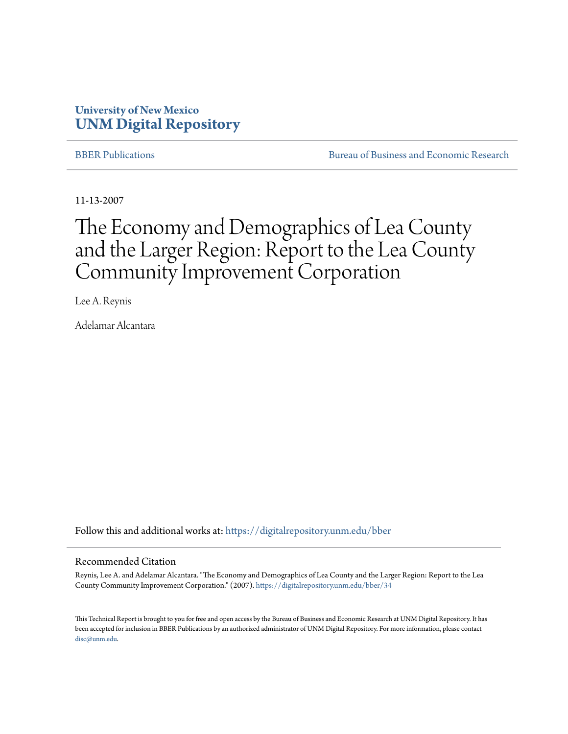# **University of New Mexico [UNM Digital Repository](https://digitalrepository.unm.edu?utm_source=digitalrepository.unm.edu%2Fbber%2F34&utm_medium=PDF&utm_campaign=PDFCoverPages)**

[BBER Publications](https://digitalrepository.unm.edu/bber?utm_source=digitalrepository.unm.edu%2Fbber%2F34&utm_medium=PDF&utm_campaign=PDFCoverPages) **BUREAU SERVICES** [Bureau of Business and Economic Research](https://digitalrepository.unm.edu/business_economic_research?utm_source=digitalrepository.unm.edu%2Fbber%2F34&utm_medium=PDF&utm_campaign=PDFCoverPages)

11-13-2007

# The Economy and Demographics of Lea County and the Larger Region: Report to the Lea County Community Improvement Corporation

Lee A. Reynis

Adelamar Alcantara

Follow this and additional works at: [https://digitalrepository.unm.edu/bber](https://digitalrepository.unm.edu/bber?utm_source=digitalrepository.unm.edu%2Fbber%2F34&utm_medium=PDF&utm_campaign=PDFCoverPages)

#### Recommended Citation

Reynis, Lee A. and Adelamar Alcantara. "The Economy and Demographics of Lea County and the Larger Region: Report to the Lea County Community Improvement Corporation." (2007). [https://digitalrepository.unm.edu/bber/34](https://digitalrepository.unm.edu/bber/34?utm_source=digitalrepository.unm.edu%2Fbber%2F34&utm_medium=PDF&utm_campaign=PDFCoverPages)

This Technical Report is brought to you for free and open access by the Bureau of Business and Economic Research at UNM Digital Repository. It has been accepted for inclusion in BBER Publications by an authorized administrator of UNM Digital Repository. For more information, please contact [disc@unm.edu](mailto:disc@unm.edu).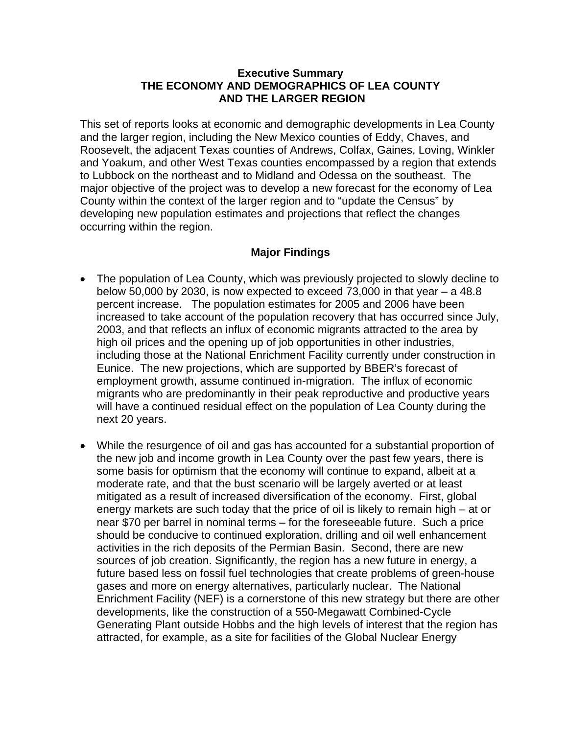### **Executive Summary THE ECONOMY AND DEMOGRAPHICS OF LEA COUNTY AND THE LARGER REGION**

This set of reports looks at economic and demographic developments in Lea County and the larger region, including the New Mexico counties of Eddy, Chaves, and Roosevelt, the adjacent Texas counties of Andrews, Colfax, Gaines, Loving, Winkler and Yoakum, and other West Texas counties encompassed by a region that extends to Lubbock on the northeast and to Midland and Odessa on the southeast. The major objective of the project was to develop a new forecast for the economy of Lea County within the context of the larger region and to "update the Census" by developing new population estimates and projections that reflect the changes occurring within the region.

## **Major Findings**

- The population of Lea County, which was previously projected to slowly decline to below 50,000 by 2030, is now expected to exceed 73,000 in that year  $-$  a 48.8 percent increase. The population estimates for 2005 and 2006 have been increased to take account of the population recovery that has occurred since July, 2003, and that reflects an influx of economic migrants attracted to the area by high oil prices and the opening up of job opportunities in other industries, including those at the National Enrichment Facility currently under construction in Eunice. The new projections, which are supported by BBER's forecast of employment growth, assume continued in-migration. The influx of economic migrants who are predominantly in their peak reproductive and productive years will have a continued residual effect on the population of Lea County during the next 20 years.
- While the resurgence of oil and gas has accounted for a substantial proportion of the new job and income growth in Lea County over the past few years, there is some basis for optimism that the economy will continue to expand, albeit at a moderate rate, and that the bust scenario will be largely averted or at least mitigated as a result of increased diversification of the economy. First, global energy markets are such today that the price of oil is likely to remain high – at or near \$70 per barrel in nominal terms – for the foreseeable future. Such a price should be conducive to continued exploration, drilling and oil well enhancement activities in the rich deposits of the Permian Basin. Second, there are new sources of job creation. Significantly, the region has a new future in energy, a future based less on fossil fuel technologies that create problems of green-house gases and more on energy alternatives, particularly nuclear. The National Enrichment Facility (NEF) is a cornerstone of this new strategy but there are other developments, like the construction of a 550-Megawatt Combined-Cycle Generating Plant outside Hobbs and the high levels of interest that the region has attracted, for example, as a site for facilities of the Global Nuclear Energy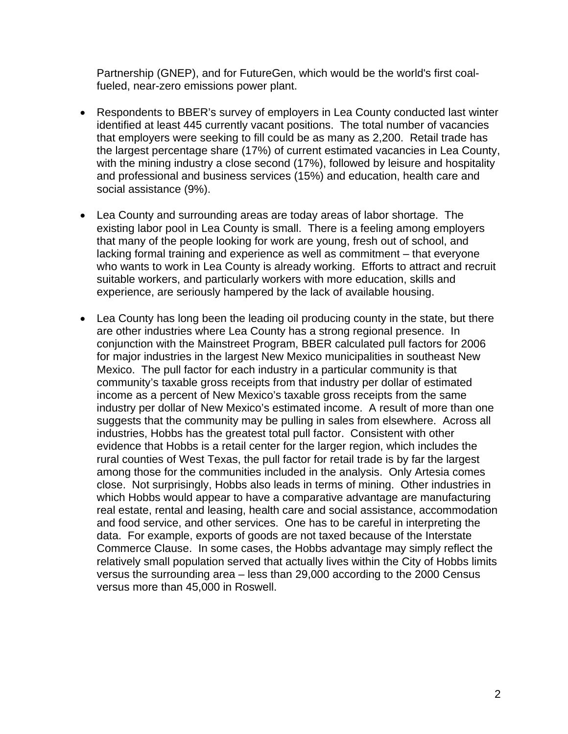Partnership (GNEP), and for FutureGen, which would be the world's first coalfueled, near-zero emissions power plant.

- Respondents to BBER's survey of employers in Lea County conducted last winter identified at least 445 currently vacant positions. The total number of vacancies that employers were seeking to fill could be as many as 2,200. Retail trade has the largest percentage share (17%) of current estimated vacancies in Lea County, with the mining industry a close second (17%), followed by leisure and hospitality and professional and business services (15%) and education, health care and social assistance (9%).
- Lea County and surrounding areas are today areas of labor shortage. The existing labor pool in Lea County is small. There is a feeling among employers that many of the people looking for work are young, fresh out of school, and lacking formal training and experience as well as commitment – that everyone who wants to work in Lea County is already working. Efforts to attract and recruit suitable workers, and particularly workers with more education, skills and experience, are seriously hampered by the lack of available housing.
- Lea County has long been the leading oil producing county in the state, but there are other industries where Lea County has a strong regional presence. In conjunction with the Mainstreet Program, BBER calculated pull factors for 2006 for major industries in the largest New Mexico municipalities in southeast New Mexico. The pull factor for each industry in a particular community is that community's taxable gross receipts from that industry per dollar of estimated income as a percent of New Mexico's taxable gross receipts from the same industry per dollar of New Mexico's estimated income. A result of more than one suggests that the community may be pulling in sales from elsewhere. Across all industries, Hobbs has the greatest total pull factor. Consistent with other evidence that Hobbs is a retail center for the larger region, which includes the rural counties of West Texas, the pull factor for retail trade is by far the largest among those for the communities included in the analysis. Only Artesia comes close. Not surprisingly, Hobbs also leads in terms of mining. Other industries in which Hobbs would appear to have a comparative advantage are manufacturing real estate, rental and leasing, health care and social assistance, accommodation and food service, and other services. One has to be careful in interpreting the data. For example, exports of goods are not taxed because of the Interstate Commerce Clause. In some cases, the Hobbs advantage may simply reflect the relatively small population served that actually lives within the City of Hobbs limits versus the surrounding area – less than 29,000 according to the 2000 Census versus more than 45,000 in Roswell.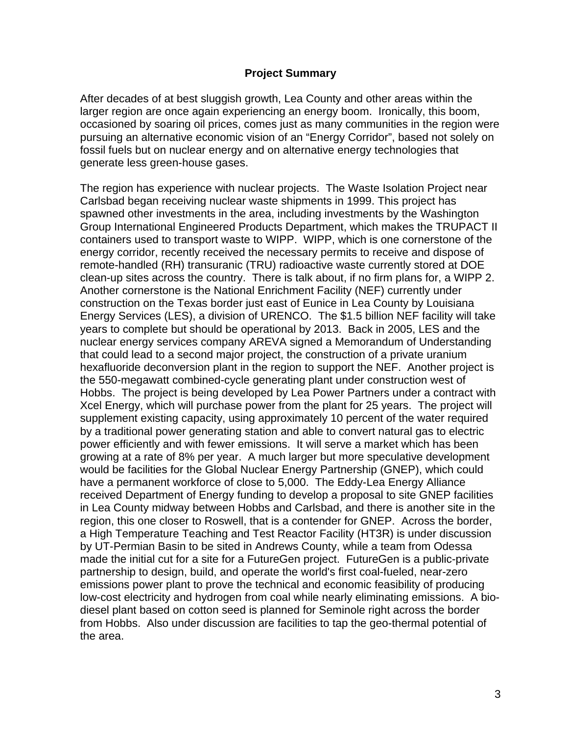#### **Project Summary**

After decades of at best sluggish growth, Lea County and other areas within the larger region are once again experiencing an energy boom. Ironically, this boom, occasioned by soaring oil prices, comes just as many communities in the region were pursuing an alternative economic vision of an "Energy Corridor", based not solely on fossil fuels but on nuclear energy and on alternative energy technologies that generate less green-house gases.

The region has experience with nuclear projects. The Waste Isolation Project near Carlsbad began receiving nuclear waste shipments in 1999. This project has spawned other investments in the area, including investments by the Washington Group International Engineered Products Department, which makes the TRUPACT II containers used to transport waste to WIPP. WIPP, which is one cornerstone of the energy corridor, recently received the necessary permits to receive and dispose of remote-handled (RH) transuranic (TRU) radioactive waste currently stored at DOE clean-up sites across the country. There is talk about, if no firm plans for, a WIPP 2. Another cornerstone is the National Enrichment Facility (NEF) currently under construction on the Texas border just east of Eunice in Lea County by Louisiana Energy Services (LES), a division of URENCO. The \$1.5 billion NEF facility will take years to complete but should be operational by 2013. Back in 2005, LES and the nuclear energy services company AREVA signed a Memorandum of Understanding that could lead to a second major project, the construction of a private uranium hexafluoride deconversion plant in the region to support the NEF. Another project is the 550-megawatt combined-cycle generating plant under construction west of Hobbs. The project is being developed by Lea Power Partners under a contract with Xcel Energy, which will purchase power from the plant for 25 years. The project will supplement existing capacity, using approximately 10 percent of the water required by a traditional power generating station and able to convert natural gas to electric power efficiently and with fewer emissions. It will serve a market which has been growing at a rate of 8% per year. A much larger but more speculative development would be facilities for the Global Nuclear Energy Partnership (GNEP), which could have a permanent workforce of close to 5,000. The Eddy-Lea Energy Alliance received Department of Energy funding to develop a proposal to site GNEP facilities in Lea County midway between Hobbs and Carlsbad, and there is another site in the region, this one closer to Roswell, that is a contender for GNEP. Across the border, a High Temperature Teaching and Test Reactor Facility (HT3R) is under discussion by UT-Permian Basin to be sited in Andrews County, while a team from Odessa made the initial cut for a site for a FutureGen project. FutureGen is a public-private partnership to design, build, and operate the world's first coal-fueled, near-zero emissions power plant to prove the technical and economic feasibility of producing low-cost electricity and hydrogen from coal while nearly eliminating emissions. A biodiesel plant based on cotton seed is planned for Seminole right across the border from Hobbs. Also under discussion are facilities to tap the geo-thermal potential of the area.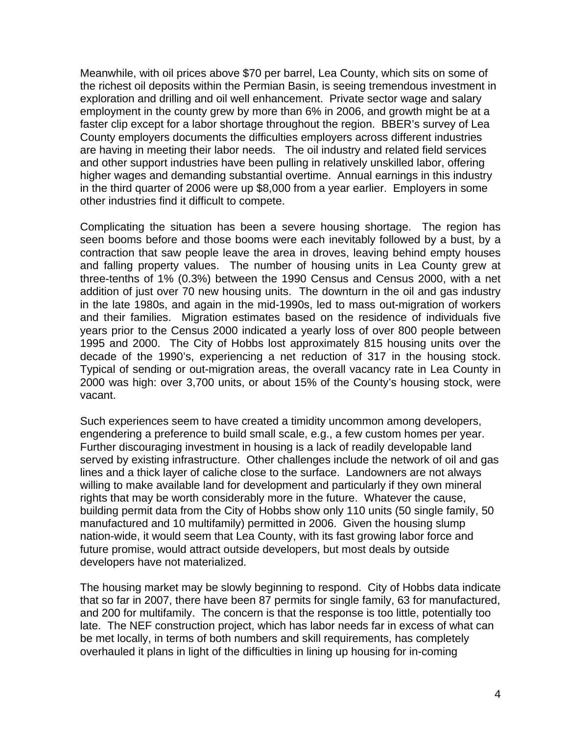Meanwhile, with oil prices above \$70 per barrel, Lea County, which sits on some of the richest oil deposits within the Permian Basin, is seeing tremendous investment in exploration and drilling and oil well enhancement. Private sector wage and salary employment in the county grew by more than 6% in 2006, and growth might be at a faster clip except for a labor shortage throughout the region. BBER's survey of Lea County employers documents the difficulties employers across different industries are having in meeting their labor needs. The oil industry and related field services and other support industries have been pulling in relatively unskilled labor, offering higher wages and demanding substantial overtime. Annual earnings in this industry in the third quarter of 2006 were up \$8,000 from a year earlier. Employers in some other industries find it difficult to compete.

Complicating the situation has been a severe housing shortage. The region has seen booms before and those booms were each inevitably followed by a bust, by a contraction that saw people leave the area in droves, leaving behind empty houses and falling property values. The number of housing units in Lea County grew at three-tenths of 1% (0.3%) between the 1990 Census and Census 2000, with a net addition of just over 70 new housing units. The downturn in the oil and gas industry in the late 1980s, and again in the mid-1990s, led to mass out-migration of workers and their families. Migration estimates based on the residence of individuals five years prior to the Census 2000 indicated a yearly loss of over 800 people between 1995 and 2000. The City of Hobbs lost approximately 815 housing units over the decade of the 1990's, experiencing a net reduction of 317 in the housing stock. Typical of sending or out-migration areas, the overall vacancy rate in Lea County in 2000 was high: over 3,700 units, or about 15% of the County's housing stock, were vacant.

Such experiences seem to have created a timidity uncommon among developers, engendering a preference to build small scale, e.g., a few custom homes per year. Further discouraging investment in housing is a lack of readily developable land served by existing infrastructure. Other challenges include the network of oil and gas lines and a thick layer of caliche close to the surface. Landowners are not always willing to make available land for development and particularly if they own mineral rights that may be worth considerably more in the future. Whatever the cause, building permit data from the City of Hobbs show only 110 units (50 single family, 50 manufactured and 10 multifamily) permitted in 2006. Given the housing slump nation-wide, it would seem that Lea County, with its fast growing labor force and future promise, would attract outside developers, but most deals by outside developers have not materialized.

The housing market may be slowly beginning to respond. City of Hobbs data indicate that so far in 2007, there have been 87 permits for single family, 63 for manufactured, and 200 for multifamily. The concern is that the response is too little, potentially too late. The NEF construction project, which has labor needs far in excess of what can be met locally, in terms of both numbers and skill requirements, has completely overhauled it plans in light of the difficulties in lining up housing for in-coming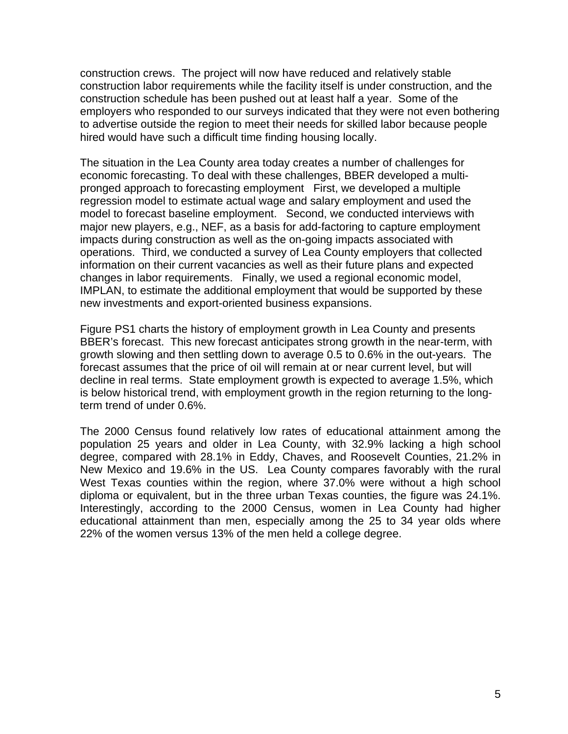construction crews. The project will now have reduced and relatively stable construction labor requirements while the facility itself is under construction, and the construction schedule has been pushed out at least half a year. Some of the employers who responded to our surveys indicated that they were not even bothering to advertise outside the region to meet their needs for skilled labor because people hired would have such a difficult time finding housing locally.

The situation in the Lea County area today creates a number of challenges for economic forecasting. To deal with these challenges, BBER developed a multipronged approach to forecasting employment First, we developed a multiple regression model to estimate actual wage and salary employment and used the model to forecast baseline employment. Second, we conducted interviews with major new players, e.g., NEF, as a basis for add-factoring to capture employment impacts during construction as well as the on-going impacts associated with operations. Third, we conducted a survey of Lea County employers that collected information on their current vacancies as well as their future plans and expected changes in labor requirements. Finally, we used a regional economic model, IMPLAN, to estimate the additional employment that would be supported by these new investments and export-oriented business expansions.

Figure PS1 charts the history of employment growth in Lea County and presents BBER's forecast. This new forecast anticipates strong growth in the near-term, with growth slowing and then settling down to average 0.5 to 0.6% in the out-years. The forecast assumes that the price of oil will remain at or near current level, but will decline in real terms. State employment growth is expected to average 1.5%, which is below historical trend, with employment growth in the region returning to the longterm trend of under 0.6%.

The 2000 Census found relatively low rates of educational attainment among the population 25 years and older in Lea County, with 32.9% lacking a high school degree, compared with 28.1% in Eddy, Chaves, and Roosevelt Counties, 21.2% in New Mexico and 19.6% in the US. Lea County compares favorably with the rural West Texas counties within the region, where 37.0% were without a high school diploma or equivalent, but in the three urban Texas counties, the figure was 24.1%. Interestingly, according to the 2000 Census, women in Lea County had higher educational attainment than men, especially among the 25 to 34 year olds where 22% of the women versus 13% of the men held a college degree.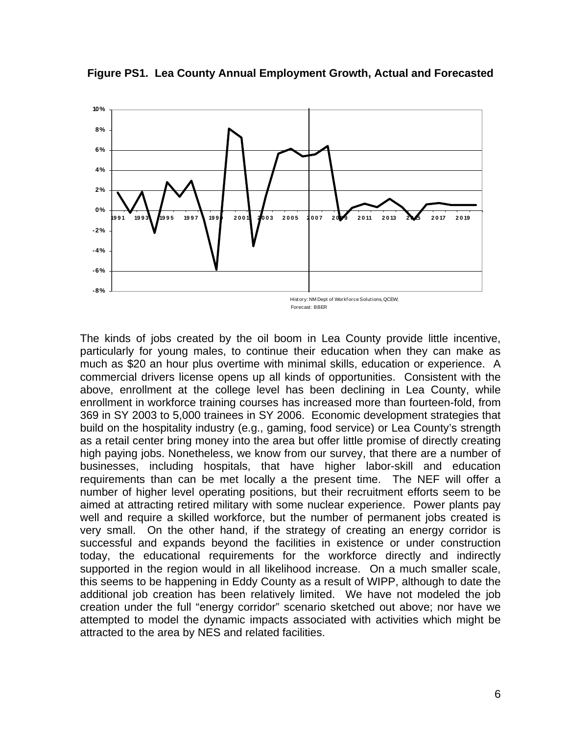

**Figure PS1. Lea County Annual Employment Growth, Actual and Forecasted** 

The kinds of jobs created by the oil boom in Lea County provide little incentive, particularly for young males, to continue their education when they can make as much as \$20 an hour plus overtime with minimal skills, education or experience. A commercial drivers license opens up all kinds of opportunities. Consistent with the above, enrollment at the college level has been declining in Lea County, while enrollment in workforce training courses has increased more than fourteen-fold, from 369 in SY 2003 to 5,000 trainees in SY 2006. Economic development strategies that build on the hospitality industry (e.g., gaming, food service) or Lea County's strength as a retail center bring money into the area but offer little promise of directly creating high paying jobs. Nonetheless, we know from our survey, that there are a number of businesses, including hospitals, that have higher labor-skill and education requirements than can be met locally a the present time. The NEF will offer a number of higher level operating positions, but their recruitment efforts seem to be aimed at attracting retired military with some nuclear experience. Power plants pay well and require a skilled workforce, but the number of permanent jobs created is very small. On the other hand, if the strategy of creating an energy corridor is successful and expands beyond the facilities in existence or under construction today, the educational requirements for the workforce directly and indirectly supported in the region would in all likelihood increase. On a much smaller scale, this seems to be happening in Eddy County as a result of WIPP, although to date the additional job creation has been relatively limited. We have not modeled the job creation under the full "energy corridor" scenario sketched out above; nor have we attempted to model the dynamic impacts associated with activities which might be attracted to the area by NES and related facilities.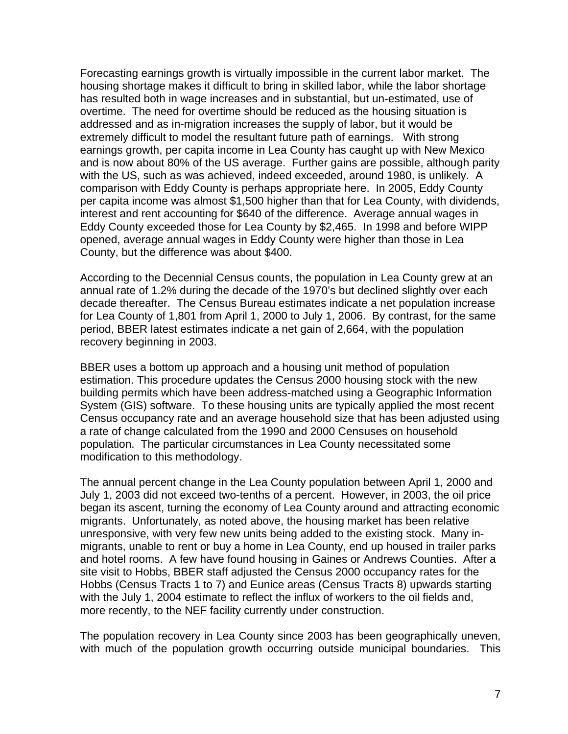Forecasting earnings growth is virtually impossible in the current labor market. The housing shortage makes it difficult to bring in skilled labor, while the labor shortage has resulted both in wage increases and in substantial, but un-estimated, use of overtime. The need for overtime should be reduced as the housing situation is addressed and as in-migration increases the supply of labor, but it would be extremely difficult to model the resultant future path of earnings. With strong earnings growth, per capita income in Lea County has caught up with New Mexico and is now about 80% of the US average. Further gains are possible, although parity with the US, such as was achieved, indeed exceeded, around 1980, is unlikely. A comparison with Eddy County is perhaps appropriate here. In 2005, Eddy County per capita income was almost \$1,500 higher than that for Lea County, with dividends, interest and rent accounting for \$640 of the difference. Average annual wages in Eddy County exceeded those for Lea County by \$2,465. In 1998 and before WIPP opened, average annual wages in Eddy County were higher than those in Lea County, but the difference was about \$400.

According to the Decennial Census counts, the population in Lea County grew at an annual rate of 1.2% during the decade of the 1970's but declined slightly over each decade thereafter. The Census Bureau estimates indicate a net population increase for Lea County of 1,801 from April 1, 2000 to July 1, 2006. By contrast, for the same period, BBER latest estimates indicate a net gain of 2,664, with the population recovery beginning in 2003.

BBER uses a bottom up approach and a housing unit method of population estimation. This procedure updates the Census 2000 housing stock with the new building permits which have been address-matched using a Geographic Information System (GIS) software. To these housing units are typically applied the most recent Census occupancy rate and an average household size that has been adjusted using a rate of change calculated from the 1990 and 2000 Censuses on household population. The particular circumstances in Lea County necessitated some modification to this methodology.

The annual percent change in the Lea County population between April 1, 2000 and July 1, 2003 did not exceed two-tenths of a percent. However, in 2003, the oil price began its ascent, turning the economy of Lea County around and attracting economic migrants. Unfortunately, as noted above, the housing market has been relative unresponsive, with very few new units being added to the existing stock. Many inmigrants, unable to rent or buy a home in Lea County, end up housed in trailer parks and hotel rooms. A few have found housing in Gaines or Andrews Counties. After a site visit to Hobbs, BBER staff adjusted the Census 2000 occupancy rates for the Hobbs (Census Tracts 1 to 7) and Eunice areas (Census Tracts 8) upwards starting with the July 1, 2004 estimate to reflect the influx of workers to the oil fields and, more recently, to the NEF facility currently under construction.

The population recovery in Lea County since 2003 has been geographically uneven, with much of the population growth occurring outside municipal boundaries. This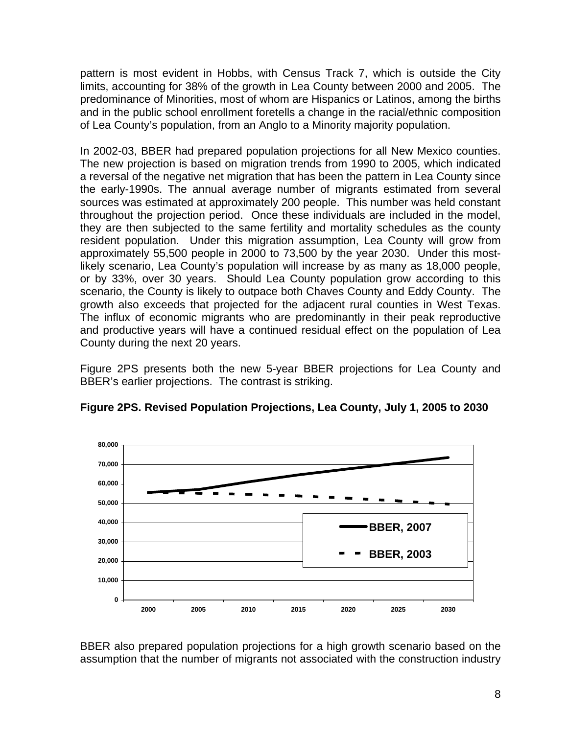pattern is most evident in Hobbs, with Census Track 7, which is outside the City limits, accounting for 38% of the growth in Lea County between 2000 and 2005. The predominance of Minorities, most of whom are Hispanics or Latinos, among the births and in the public school enrollment foretells a change in the racial/ethnic composition of Lea County's population, from an Anglo to a Minority majority population.

In 2002-03, BBER had prepared population projections for all New Mexico counties. The new projection is based on migration trends from 1990 to 2005, which indicated a reversal of the negative net migration that has been the pattern in Lea County since the early-1990s. The annual average number of migrants estimated from several sources was estimated at approximately 200 people. This number was held constant throughout the projection period. Once these individuals are included in the model, they are then subjected to the same fertility and mortality schedules as the county resident population. Under this migration assumption, Lea County will grow from approximately 55,500 people in 2000 to 73,500 by the year 2030. Under this mostlikely scenario, Lea County's population will increase by as many as 18,000 people, or by 33%, over 30 years. Should Lea County population grow according to this scenario, the County is likely to outpace both Chaves County and Eddy County. The growth also exceeds that projected for the adjacent rural counties in West Texas. The influx of economic migrants who are predominantly in their peak reproductive and productive years will have a continued residual effect on the population of Lea County during the next 20 years.

Figure 2PS presents both the new 5-year BBER projections for Lea County and BBER's earlier projections. The contrast is striking.



**Figure 2PS. Revised Population Projections, Lea County, July 1, 2005 to 2030** 

BBER also prepared population projections for a high growth scenario based on the assumption that the number of migrants not associated with the construction industry